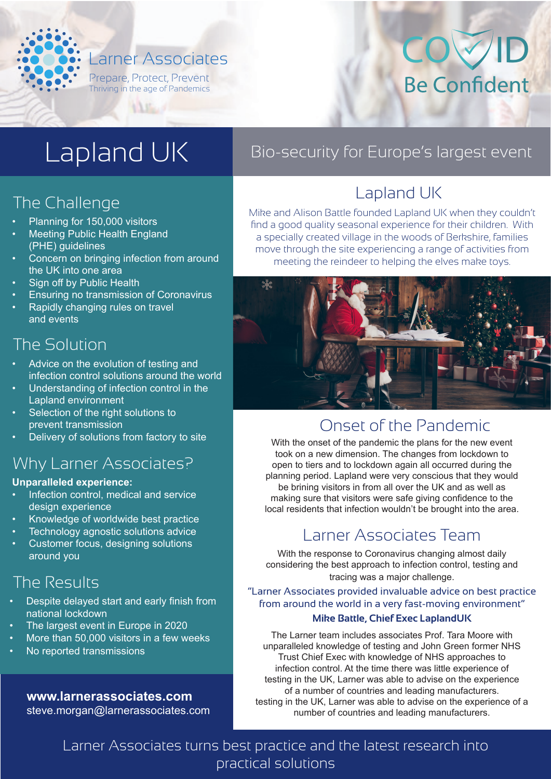

## The Challenge

- Planning for 150,000 visitors
- **Meeting Public Health England** (PHE) guidelines
- Concern on bringing infection from around the UK into one area
- Sign off by Public Health
- Ensuring no transmission of Coronavirus
- Rapidly changing rules on travel and events

#### The Solution

- Advice on the evolution of testing and infection control solutions around the world
- Understanding of infection control in the Lapland environment
- Selection of the right solutions to prevent transmission
- Delivery of solutions from factory to site

#### Why Larner Associates?

#### **Unparalleled experience:**

- Infection control, medical and service design experience
- Knowledge of worldwide best practice
- Technology agnostic solutions advice
- Customer focus, designing solutions around you

#### The Results

- Despite delayed start and early finish from national lockdown
- The largest event in Europe in 2020
- More than 50,000 visitors in a few weeks
- No reported transmissions

#### **www.larnerassociates.com** steve.morgan@larnerassociates.com

## Lapland UK Bio-security for Europe's largest event

## Lapland UK

Mike and Alison Battle founded Lapland UK when they couldn't find a good quality seasonal experience for their children. With a specially created village in the woods of Berkshire, families move through the site experiencing a range of activities from meeting the reindeer to helping the elves make toys.



#### Onset of the Pandemic

With the onset of the pandemic the plans for the new event took on a new dimension. The changes from lockdown to open to tiers and to lockdown again all occurred during the planning period. Lapland were very conscious that they would be brining visitors in from all over the UK and as well as making sure that visitors were safe giving confidence to the local residents that infection wouldn't be brought into the area.

#### Larner Associates Team

With the response to Coronavirus changing almost daily considering the best approach to infection control, testing and tracing was a major challenge.

#### "Larner Associates provided invaluable advice on best practice from around the world in a very fast-moving environment"

#### **Mike Battle, Chief Exec LaplandUK**

The Larner team includes associates Prof. Tara Moore with unparalleled knowledge of testing and John Green former NHS Trust Chief Exec with knowledge of NHS approaches to infection control. At the time there was little experience of testing in the UK, Larner was able to advise on the experience of a number of countries and leading manufacturers. testing in the UK, Larner was able to advise on the experience of a number of countries and leading manufacturers.

Larner Associates turns best practice and the latest research into practical solutions